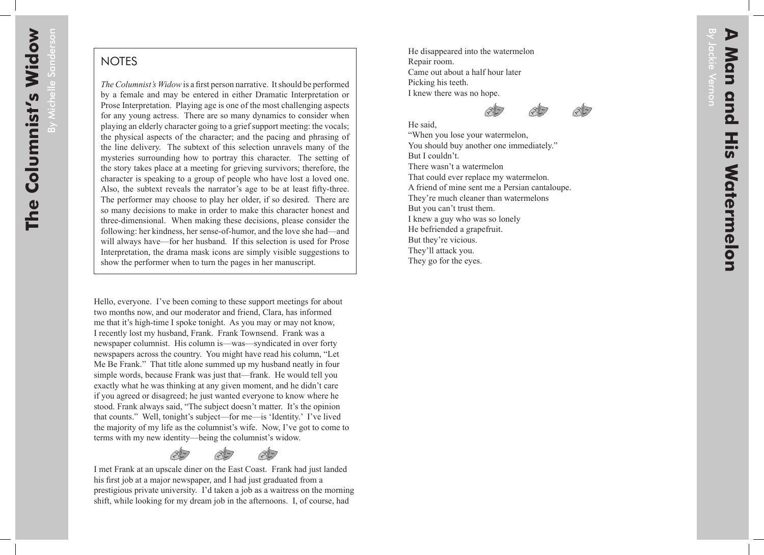By Michelle Sanderson

## **NOTES**

*The Columnist's Widow* is a first person narrative. It should be performed by a female and may be entered in either Dramatic Interpretation or Prose Interpretation. Playing age is one of the most challenging aspects for any young actress. There are so many dynamics to consider when playing an elderly character going to a grief support meeting: the vocals; the physical aspects of the character; and the pacing and phrasing of the line delivery. The subtext of this selection unravels many of the mysteries surrounding how to portray this character. The setting of the story takes place at a meeting for grieving survivors; therefore, the character is speaking to a group of people who have lost a loved one. Also, the subtext reveals the narrator's age to be at least fifty-three. The performer may choose to play her older, if so desired. There are so many decisions to make in order to make this character honest and three-dimensional. When making these decisions, please consider the following: her kindness, her sense-of-humor, and the love she had—and will always have—for her husband. If this selection is used for Prose Interpretation, the drama mask icons are simply visible suggestions to show the performer when to turn the pages in her manuscript.

Hello, everyone. I've been coming to these support meetings for about two months now, and our moderator and friend, Clara, has informed me that it's high-time I spoke tonight. As you may or may not know, I recently lost my husband, Frank. Frank Townsend. Frank was a newspaper columnist. His column is—was—syndicated in over forty newspapers across the country. You might have read his column, "Let Me Be Frank." That title alone summed up my husband neatly in four simple words, because Frank was just that—frank. He would tell you exactly what he was thinking at any given moment, and he didn't care if you agreed or disagreed; he just wanted everyone to know where he stood. Frank always said, "The subject doesn't matter. It's the opinion that counts." Well, tonight's subject—for me—is 'Identity.' I've lived the majority of my life as the columnist's wife. Now, I've got to come to terms with my new identity—being the columnist's widow.

I met Frank at an upscale diner on the East Coast. Frank had just landed his first job at a major newspaper, and I had just graduated from a prestigious private university. I'd taken a job as a waitress on the morning shift, while looking for my dream job in the afternoons. I, of course, had